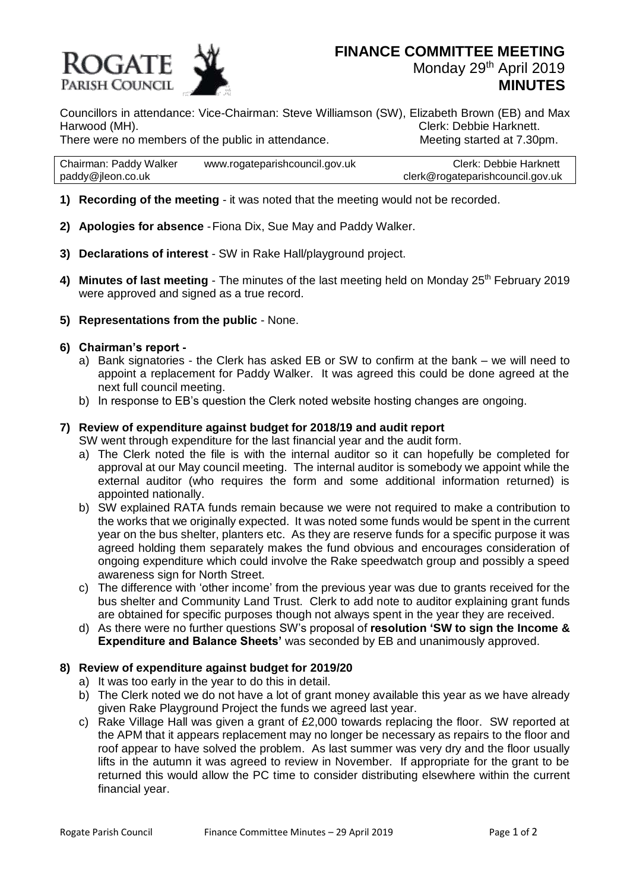

Councillors in attendance: Vice-Chairman: Steve Williamson (SW), Elizabeth Brown (EB) and Max Harwood (MH). Clerk: Debbie Harknett. There were no members of the public in attendance. Meeting started at 7.30pm.

Chairman: Paddy Walker www.rogateparishcouncil.gov.uk Clerk: Debbie Harknett paddy@jleon.co.uk clerk@rogateparishcouncil.gov.uk

- **1) Recording of the meeting** it was noted that the meeting would not be recorded.
- **2) Apologies for absence** -Fiona Dix, Sue May and Paddy Walker.
- **3) Declarations of interest** SW in Rake Hall/playground project.
- 4) Minutes of last meeting The minutes of the last meeting held on Monday 25<sup>th</sup> February 2019 were approved and signed as a true record.
- **5) Representations from the public** None.

## **6) Chairman's report -**

- a) Bank signatories the Clerk has asked EB or SW to confirm at the bank we will need to appoint a replacement for Paddy Walker. It was agreed this could be done agreed at the next full council meeting.
- b) In response to EB's question the Clerk noted website hosting changes are ongoing.

## **7) Review of expenditure against budget for 2018/19 and audit report**

SW went through expenditure for the last financial year and the audit form.

- a) The Clerk noted the file is with the internal auditor so it can hopefully be completed for approval at our May council meeting. The internal auditor is somebody we appoint while the external auditor (who requires the form and some additional information returned) is appointed nationally.
- b) SW explained RATA funds remain because we were not required to make a contribution to the works that we originally expected. It was noted some funds would be spent in the current year on the bus shelter, planters etc. As they are reserve funds for a specific purpose it was agreed holding them separately makes the fund obvious and encourages consideration of ongoing expenditure which could involve the Rake speedwatch group and possibly a speed awareness sign for North Street.
- c) The difference with 'other income' from the previous year was due to grants received for the bus shelter and Community Land Trust. Clerk to add note to auditor explaining grant funds are obtained for specific purposes though not always spent in the year they are received.
- d) As there were no further questions SW's proposal of **resolution 'SW to sign the Income & Expenditure and Balance Sheets'** was seconded by EB and unanimously approved.

## **8) Review of expenditure against budget for 2019/20**

- a) It was too early in the year to do this in detail.
- b) The Clerk noted we do not have a lot of grant money available this year as we have already given Rake Playground Project the funds we agreed last year.
- c) Rake Village Hall was given a grant of £2,000 towards replacing the floor. SW reported at the APM that it appears replacement may no longer be necessary as repairs to the floor and roof appear to have solved the problem. As last summer was very dry and the floor usually lifts in the autumn it was agreed to review in November. If appropriate for the grant to be returned this would allow the PC time to consider distributing elsewhere within the current financial year.